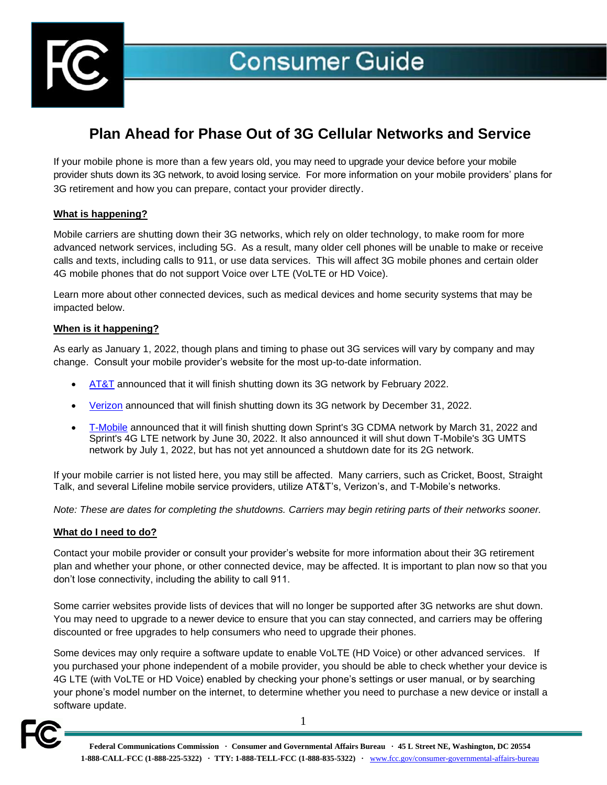

# **Plan Ahead for Phase Out of 3G Cellular Networks and Service**

If your mobile phone is more than a few years old, you may need to upgrade your device before your mobile provider shuts down its 3G network, to avoid losing service. For more information on your mobile providers' plans for 3G retirement and how you can prepare, contact your provider directly.

### **What is happening?**

Mobile carriers are shutting down their 3G networks, which rely on older technology, to make room for more advanced network services, including 5G. As a result, many older cell phones will be unable to make or receive calls and texts, including calls to 911, or use data services. This will affect 3G mobile phones and certain older 4G mobile phones that do not support Voice over LTE (VoLTE or HD Voice).

Learn more about other connected devices, such as medical devices and home security systems that may be impacted below.

# **When is it happening?**

As early as January 1, 2022, though plans and timing to phase out 3G services will vary by company and may change. Consult your mobile provider's website for the most up-to-date information.

- **[AT&T](https://www.att.com/support/article/wireless/KM1324171/)** announced that it will finish shutting down its 3G network by February 2022.
- [Verizon](https://www.verizon.com/support/knowledge-base-218813) announced that will finish shutting down its 3G network by December 31, 2022.
- [T-Mobile](https://www.t-mobile.com/support/coverage/t-mobile-network-evolution) announced that it will finish shutting down Sprint's 3G CDMA network by March 31, 2022 and Sprint's 4G LTE network by June 30, 2022. It also announced it will shut down T-Mobile's 3G UMTS network by July 1, 2022, but has not yet announced a shutdown date for its 2G network.

If your mobile carrier is not listed here, you may still be affected. Many carriers, such as Cricket, Boost, Straight Talk, and several Lifeline mobile service providers, utilize AT&T's, Verizon's, and T-Mobile's networks.

*Note: These are dates for completing the shutdowns. Carriers may begin retiring parts of their networks sooner.* 

### **What do I need to do?**

Contact your mobile provider or consult your provider's website for more information about their 3G retirement plan and whether your phone, or other connected device, may be affected. It is important to plan now so that you don't lose connectivity, including the ability to call 911.

Some carrier websites provide lists of devices that will no longer be supported after 3G networks are shut down. You may need to upgrade to a newer device to ensure that you can stay connected, and carriers may be offering discounted or free upgrades to help consumers who need to upgrade their phones.

Some devices may only require a software update to enable VoLTE (HD Voice) or other advanced services. If you purchased your phone independent of a mobile provider, you should be able to check whether your device is 4G LTE (with VoLTE or HD Voice) enabled by checking your phone's settings or user manual, or by searching your phone's model number on the internet, to determine whether you need to purchase a new device or install a software update.